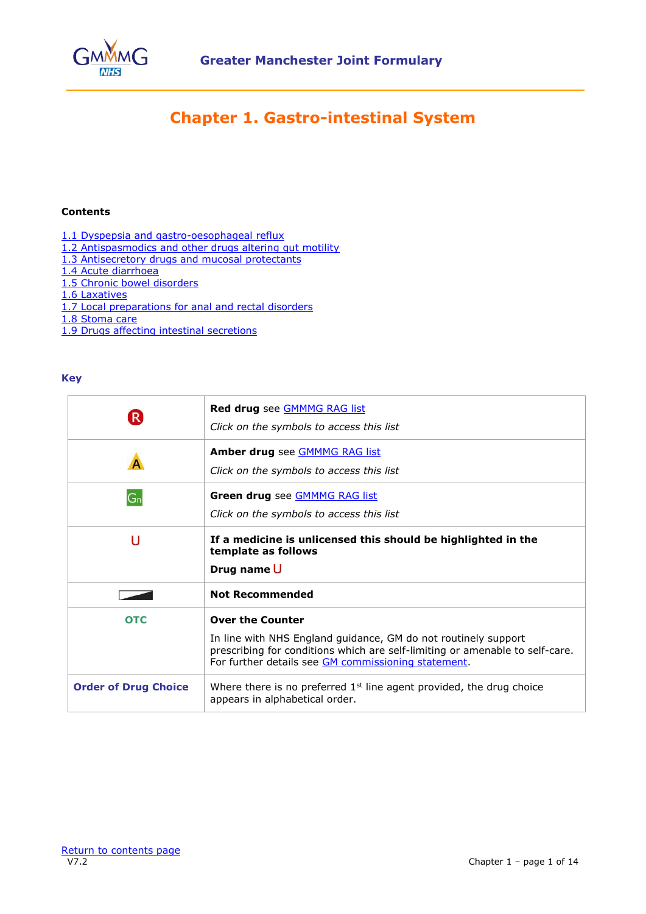

# **Chapter 1. Gastro-intestinal System**

## <span id="page-0-0"></span>**Contents**

- [1.1 Dyspepsia and gastro-oesophageal reflux](#page-1-0)
- [1.2 Antispasmodics and other drugs altering gut motility](#page-2-0)
- [1.3 Antisecretory drugs and mucosal protectants](#page-3-0)
- [1.4 Acute diarrhoea](#page-5-0)
- [1.5 Chronic bowel disorders](#page-6-0)
- [1.6 Laxatives](#page-9-0)
- [1.7 Local preparations for anal and rectal disorders](#page-11-0)
- [1.8 Stoma care](#page-12-0)
- [1.9 Drugs affecting intestinal secretions](#page-13-0)

#### **Key**

|                             | Red drug see <b>GMMMG RAG list</b><br>Click on the symbols to access this list                                                                                                                                                   |
|-----------------------------|----------------------------------------------------------------------------------------------------------------------------------------------------------------------------------------------------------------------------------|
|                             | Amber drug see <b>GMMMG RAG list</b><br>Click on the symbols to access this list                                                                                                                                                 |
| $G_n$                       | Green drug see <b>GMMMG RAG list</b><br>Click on the symbols to access this list                                                                                                                                                 |
| U                           | If a medicine is unlicensed this should be highlighted in the<br>template as follows<br>Drug name U                                                                                                                              |
|                             | <b>Not Recommended</b>                                                                                                                                                                                                           |
| <b>OTC</b>                  | <b>Over the Counter</b><br>In line with NHS England guidance, GM do not routinely support<br>prescribing for conditions which are self-limiting or amenable to self-care.<br>For further details see GM commissioning statement. |
| <b>Order of Drug Choice</b> | Where there is no preferred $1st$ line agent provided, the drug choice<br>appears in alphabetical order.                                                                                                                         |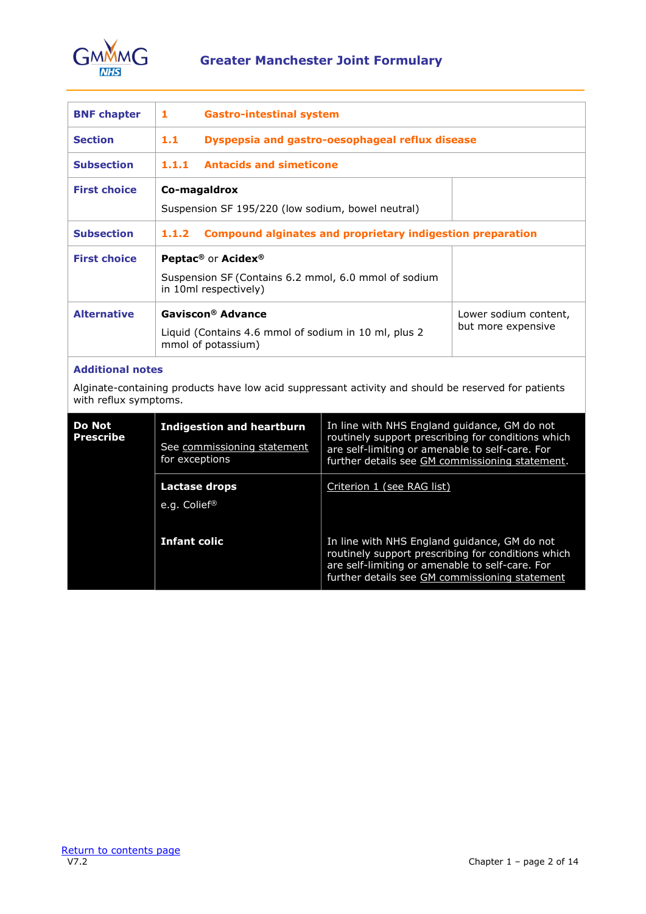

<span id="page-1-0"></span>

| <b>BNF chapter</b>  | 1<br><b>Gastro-intestinal system</b>                                                                                        |                                             |
|---------------------|-----------------------------------------------------------------------------------------------------------------------------|---------------------------------------------|
| <b>Section</b>      | Dyspepsia and gastro-oesophageal reflux disease<br>1.1                                                                      |                                             |
| <b>Subsection</b>   | <b>Antacids and simeticone</b><br>1.1.1                                                                                     |                                             |
| <b>First choice</b> | Co-magaldrox<br>Suspension SF 195/220 (low sodium, bowel neutral)                                                           |                                             |
| <b>Subsection</b>   | <b>Compound alginates and proprietary indigestion preparation</b><br>1.1.2                                                  |                                             |
| <b>First choice</b> | Peptac <sup>®</sup> or Acidex <sup>®</sup><br>Suspension SF (Contains 6.2 mmol, 6.0 mmol of sodium<br>in 10ml respectively) |                                             |
| <b>Alternative</b>  | Gaviscon® Advance<br>Liquid (Contains 4.6 mmol of sodium in 10 ml, plus 2<br>mmol of potassium)                             | Lower sodium content,<br>but more expensive |

## **Additional notes**

Alginate-containing products have low acid suppressant activity and should be reserved for patients with reflux symptoms.

| Do Not<br><b>Prescribe</b> | <b>Indigestion and heartburn</b><br>See commissioning statement<br>for exceptions | In line with NHS England guidance, GM do not<br>routinely support prescribing for conditions which<br>are self-limiting or amenable to self-care. For<br>further details see GM commissioning statement. |
|----------------------------|-----------------------------------------------------------------------------------|----------------------------------------------------------------------------------------------------------------------------------------------------------------------------------------------------------|
|                            | Lactase drops<br>e.g. Colief®                                                     | Criterion 1 (see RAG list)                                                                                                                                                                               |
|                            | <b>Infant colic</b>                                                               | In line with NHS England guidance, GM do not<br>routinely support prescribing for conditions which<br>are self-limiting or amenable to self-care. For<br>further details see GM commissioning statement  |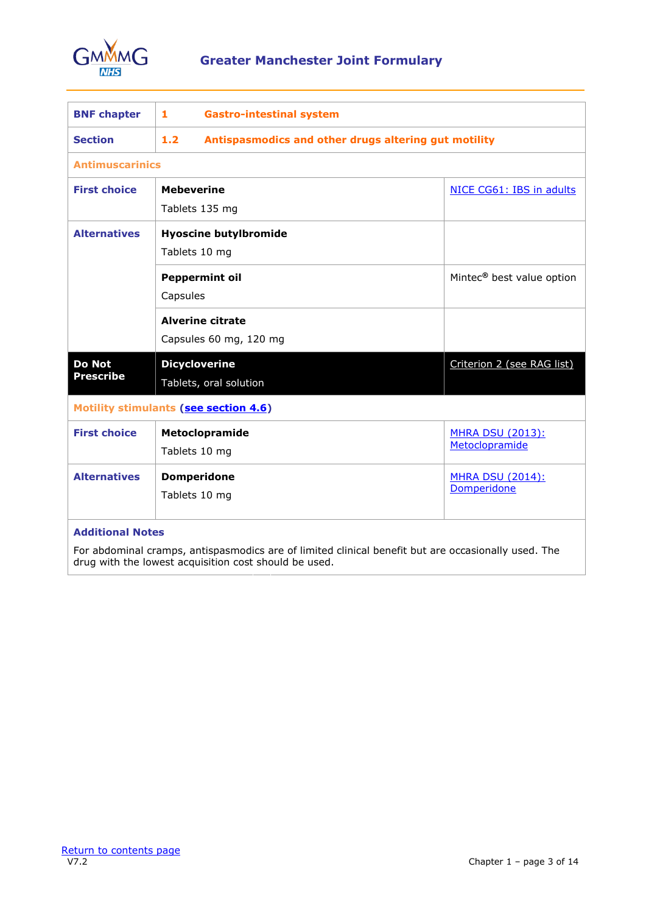

<span id="page-2-0"></span>

| <b>BNF chapter</b>                                                                                                                                           | 1<br><b>Gastro-intestinal system</b>                        |                                       |
|--------------------------------------------------------------------------------------------------------------------------------------------------------------|-------------------------------------------------------------|---------------------------------------|
| <b>Section</b>                                                                                                                                               | 1.2<br>Antispasmodics and other drugs altering gut motility |                                       |
| <b>Antimuscarinics</b>                                                                                                                                       |                                                             |                                       |
| <b>First choice</b>                                                                                                                                          | <b>Mebeverine</b>                                           | NICE CG61: IBS in adults              |
|                                                                                                                                                              | Tablets 135 mg                                              |                                       |
| <b>Alternatives</b>                                                                                                                                          | <b>Hyoscine butylbromide</b>                                |                                       |
|                                                                                                                                                              | Tablets 10 mg                                               |                                       |
|                                                                                                                                                              | <b>Peppermint oil</b><br>Capsules                           | Mintec <sup>®</sup> best value option |
|                                                                                                                                                              | <b>Alverine citrate</b>                                     |                                       |
|                                                                                                                                                              | Capsules 60 mg, 120 mg                                      |                                       |
|                                                                                                                                                              |                                                             |                                       |
| <b>Do Not</b><br><b>Prescribe</b>                                                                                                                            | <b>Dicycloverine</b>                                        | Criterion 2 (see RAG list)            |
|                                                                                                                                                              | Tablets, oral solution                                      |                                       |
|                                                                                                                                                              | <b>Motility stimulants (see section 4.6)</b>                |                                       |
| <b>First choice</b>                                                                                                                                          | Metoclopramide                                              | <b>MHRA DSU (2013):</b>               |
|                                                                                                                                                              | Tablets 10 mg                                               | Metoclopramide                        |
| <b>Alternatives</b>                                                                                                                                          | <b>Domperidone</b>                                          | <b>MHRA DSU (2014):</b>               |
|                                                                                                                                                              | Tablets 10 mg                                               | Domperidone                           |
| <b>Additional Notes</b>                                                                                                                                      |                                                             |                                       |
| For abdominal cramps, antispasmodics are of limited clinical benefit but are occasionally used. The<br>drug with the lowest acquisition cost should be used. |                                                             |                                       |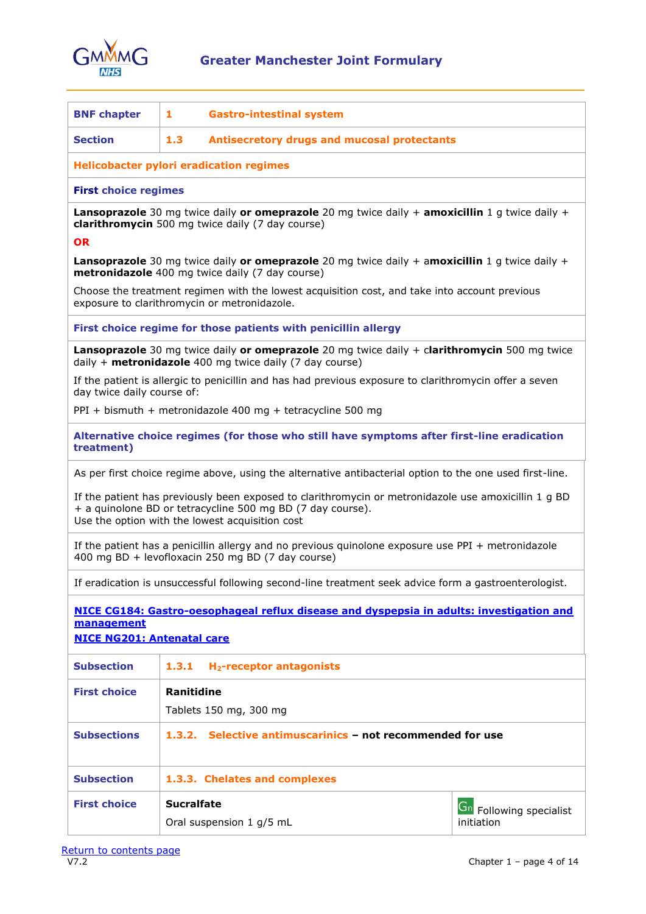

<span id="page-3-0"></span>

| <b>BNF chapter</b>                                                                                                                                                                                                    | 1<br><b>Gastro-intestinal system</b>                                                                                                                      |                                |  |
|-----------------------------------------------------------------------------------------------------------------------------------------------------------------------------------------------------------------------|-----------------------------------------------------------------------------------------------------------------------------------------------------------|--------------------------------|--|
| <b>Section</b>                                                                                                                                                                                                        | 1.3<br><b>Antisecretory drugs and mucosal protectants</b>                                                                                                 |                                |  |
|                                                                                                                                                                                                                       | <b>Helicobacter pylori eradication regimes</b>                                                                                                            |                                |  |
| <b>First choice regimes</b>                                                                                                                                                                                           |                                                                                                                                                           |                                |  |
|                                                                                                                                                                                                                       | <b>Lansoprazole</b> 30 mg twice daily or omeprazole 20 mg twice daily + amoxicillin 1 g twice daily +<br>clarithromycin 500 mg twice daily (7 day course) |                                |  |
| <b>OR</b>                                                                                                                                                                                                             |                                                                                                                                                           |                                |  |
|                                                                                                                                                                                                                       | <b>Lansoprazole</b> 30 mg twice daily or omeprazole 20 mg twice daily + amoxicillin 1 g twice daily +<br>metronidazole 400 mg twice daily (7 day course)  |                                |  |
|                                                                                                                                                                                                                       | Choose the treatment regimen with the lowest acquisition cost, and take into account previous<br>exposure to clarithromycin or metronidazole.             |                                |  |
|                                                                                                                                                                                                                       | First choice regime for those patients with penicillin allergy                                                                                            |                                |  |
|                                                                                                                                                                                                                       | Lansoprazole 30 mg twice daily or omeprazole 20 mg twice daily + clarithromycin 500 mg twice<br>daily $+$ metronidazole 400 mg twice daily (7 day course) |                                |  |
| day twice daily course of:                                                                                                                                                                                            | If the patient is allergic to penicillin and has had previous exposure to clarithromycin offer a seven                                                    |                                |  |
|                                                                                                                                                                                                                       | PPI + bismuth + metronidazole 400 mg + tetracycline 500 mg                                                                                                |                                |  |
| treatment)                                                                                                                                                                                                            | Alternative choice regimes (for those who still have symptoms after first-line eradication                                                                |                                |  |
|                                                                                                                                                                                                                       | As per first choice regime above, using the alternative antibacterial option to the one used first-line.                                                  |                                |  |
| If the patient has previously been exposed to clarithromycin or metronidazole use amoxicillin 1 g BD<br>+ a quinolone BD or tetracycline 500 mg BD (7 day course).<br>Use the option with the lowest acquisition cost |                                                                                                                                                           |                                |  |
| If the patient has a penicillin allergy and no previous quinolone exposure use PPI + metronidazole<br>400 mg BD + levofloxacin 250 mg BD (7 day course)                                                               |                                                                                                                                                           |                                |  |
|                                                                                                                                                                                                                       | If eradication is unsuccessful following second-line treatment seek advice form a gastroenterologist.                                                     |                                |  |
| NICE CG184: Gastro-oesophageal reflux disease and dyspepsia in adults: investigation and<br>management<br><b>NICE NG201: Antenatal care</b>                                                                           |                                                                                                                                                           |                                |  |
| <b>Subsection</b>                                                                                                                                                                                                     | H <sub>2</sub> -receptor antagonists<br>1, 3, 1                                                                                                           |                                |  |
| <b>First choice</b>                                                                                                                                                                                                   | <b>Ranitidine</b>                                                                                                                                         |                                |  |
|                                                                                                                                                                                                                       | Tablets 150 mg, 300 mg                                                                                                                                    |                                |  |
| <b>Subsections</b>                                                                                                                                                                                                    | 1.3.2. Selective antimuscarinics - not recommended for use                                                                                                |                                |  |
| <b>Subsection</b>                                                                                                                                                                                                     | 1.3.3. Chelates and complexes                                                                                                                             |                                |  |
| <b>First choice</b>                                                                                                                                                                                                   | <b>Sucralfate</b>                                                                                                                                         | <b>Gn</b> Following specialist |  |
|                                                                                                                                                                                                                       | Oral suspension 1 g/5 mL                                                                                                                                  | initiation                     |  |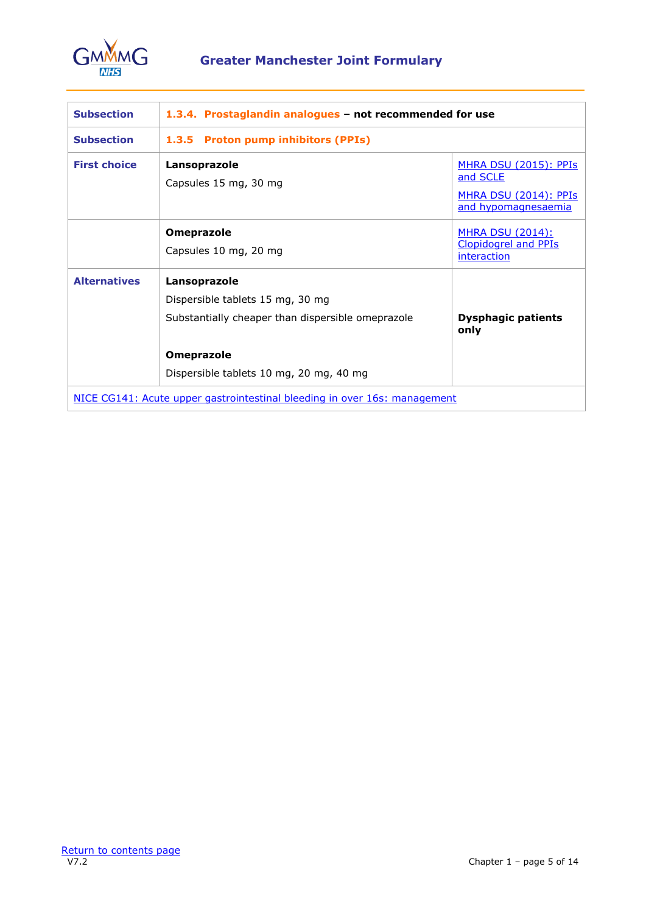

| <b>Subsection</b>                                                         | 1.3.4. Prostaglandin analogues - not recommended for use                                                                                                              |                                                                                                  |
|---------------------------------------------------------------------------|-----------------------------------------------------------------------------------------------------------------------------------------------------------------------|--------------------------------------------------------------------------------------------------|
| <b>Subsection</b>                                                         | 1.3.5 Proton pump inhibitors (PPIs)                                                                                                                                   |                                                                                                  |
| <b>First choice</b>                                                       | Lansoprazole<br>Capsules 15 mg, 30 mg                                                                                                                                 | <b>MHRA DSU (2015): PPIS</b><br>and SCLE<br><u> MHRA DSU (2014): PPIs</u><br>and hypomagnesaemia |
|                                                                           | <b>Omeprazole</b><br>Capsules 10 mg, 20 mg                                                                                                                            | <u>MHRA DSU (2014):</u><br><b>Clopidogrel and PPIs</b><br>interaction                            |
| <b>Alternatives</b>                                                       | Lansoprazole<br>Dispersible tablets 15 mg, 30 mg<br>Substantially cheaper than dispersible omeprazole<br><b>Omeprazole</b><br>Dispersible tablets 10 mg, 20 mg, 40 mg | <b>Dysphagic patients</b><br>only                                                                |
| NICE CG141: Acute upper gastrointestinal bleeding in over 16s: management |                                                                                                                                                                       |                                                                                                  |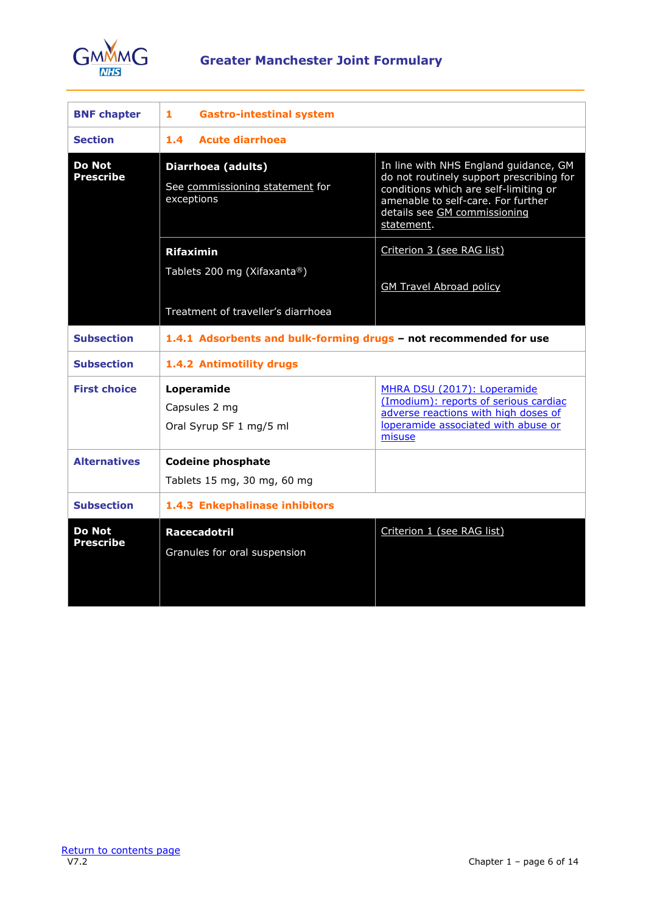

<span id="page-5-0"></span>

| <b>BNF chapter</b>                | 1<br><b>Gastro-intestinal system</b>                                |                                                                                                                                                                                                                |
|-----------------------------------|---------------------------------------------------------------------|----------------------------------------------------------------------------------------------------------------------------------------------------------------------------------------------------------------|
| <b>Section</b>                    | Acute diarrhoea<br>1.4.                                             |                                                                                                                                                                                                                |
| <b>Do Not</b><br><b>Prescribe</b> | Diarrhoea (adults)<br>See commissioning statement for<br>exceptions | In line with NHS England guidance, GM<br>do not routinely support prescribing for<br>conditions which are self-limiting or<br>amenable to self-care. For further<br>details see GM commissioning<br>statement. |
|                                   | <b>Rifaximin</b><br>Tablets 200 mg (Xifaxanta®)                     | Criterion 3 (see RAG list)                                                                                                                                                                                     |
|                                   |                                                                     | <b>GM Travel Abroad policy</b>                                                                                                                                                                                 |
|                                   | Treatment of traveller's diarrhoea                                  |                                                                                                                                                                                                                |
| <b>Subsection</b>                 | 1.4.1 Adsorbents and bulk-forming drugs - not recommended for use   |                                                                                                                                                                                                                |
| <b>Subsection</b>                 | 1.4.2 Antimotility drugs                                            |                                                                                                                                                                                                                |
| <b>First choice</b>               | Loperamide<br>Capsules 2 mg<br>Oral Syrup SF 1 mg/5 ml              | MHRA DSU (2017): Loperamide<br>(Imodium): reports of serious cardiac<br>adverse reactions with high doses of<br>loperamide associated with abuse or<br>misuse                                                  |
| <b>Alternatives</b>               | <b>Codeine phosphate</b><br>Tablets 15 mg, 30 mg, 60 mg             |                                                                                                                                                                                                                |
| <b>Subsection</b>                 | 1.4.3 Enkephalinase inhibitors                                      |                                                                                                                                                                                                                |
| <b>Do Not</b><br><b>Prescribe</b> | <b>Racecadotril</b><br>Granules for oral suspension                 | Criterion 1 (see RAG list)                                                                                                                                                                                     |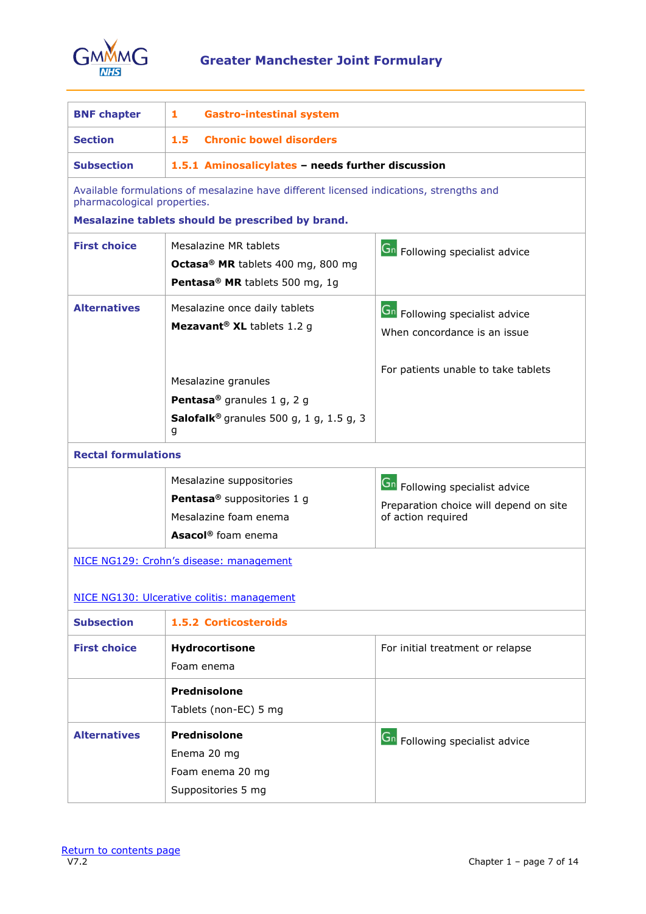

# <span id="page-6-0"></span>**Greater Manchester Joint Formulary**

| <b>BNF chapter</b>                         | $\mathbf{1}$<br><b>Gastro-intestinal system</b>                                                                                                                                                        |                                                                                                              |  |
|--------------------------------------------|--------------------------------------------------------------------------------------------------------------------------------------------------------------------------------------------------------|--------------------------------------------------------------------------------------------------------------|--|
| <b>Section</b>                             | 1.5 <sub>1</sub><br><b>Chronic bowel disorders</b>                                                                                                                                                     |                                                                                                              |  |
| <b>Subsection</b>                          | 1.5.1 Aminosalicylates - needs further discussion                                                                                                                                                      |                                                                                                              |  |
| pharmacological properties.                | Available formulations of mesalazine have different licensed indications, strengths and                                                                                                                |                                                                                                              |  |
|                                            | Mesalazine tablets should be prescribed by brand.                                                                                                                                                      |                                                                                                              |  |
| <b>First choice</b>                        | Mesalazine MR tablets<br>Octasa® MR tablets 400 mg, 800 mg<br>Pentasa <sup>®</sup> MR tablets 500 mg, 1g                                                                                               | Gn Following specialist advice                                                                               |  |
| <b>Alternatives</b>                        | Mesalazine once daily tablets<br>Mezavant <sup>®</sup> XL tablets 1.2 g<br>Mesalazine granules<br>Pentasa <sup>®</sup> granules 1 g, 2 g<br><b>Salofalk</b> <sup>®</sup> granules 500 g, 1 g, 1.5 g, 3 | <b>Gn</b> Following specialist advice<br>When concordance is an issue<br>For patients unable to take tablets |  |
|                                            | g                                                                                                                                                                                                      |                                                                                                              |  |
| <b>Rectal formulations</b>                 |                                                                                                                                                                                                        |                                                                                                              |  |
|                                            | Mesalazine suppositories<br>Pentasa <sup>®</sup> suppositories 1 g<br>Mesalazine foam enema<br>Asacol <sup>®</sup> foam enema                                                                          | <b>Gn</b> Following specialist advice<br>Preparation choice will depend on site<br>of action required        |  |
|                                            | NICE NG129: Crohn's disease: management                                                                                                                                                                |                                                                                                              |  |
| NICE NG130: Ulcerative colitis: management |                                                                                                                                                                                                        |                                                                                                              |  |
| <b>Subsection</b>                          | 1.5.2 Corticosteroids                                                                                                                                                                                  |                                                                                                              |  |
| <b>First choice</b>                        | Hydrocortisone<br>Foam enema                                                                                                                                                                           | For initial treatment or relapse                                                                             |  |
|                                            | Prednisolone<br>Tablets (non-EC) 5 mg                                                                                                                                                                  |                                                                                                              |  |
| <b>Alternatives</b>                        | <b>Prednisolone</b><br>Enema 20 mg<br>Foam enema 20 mg<br>Suppositories 5 mg                                                                                                                           | Gn Following specialist advice                                                                               |  |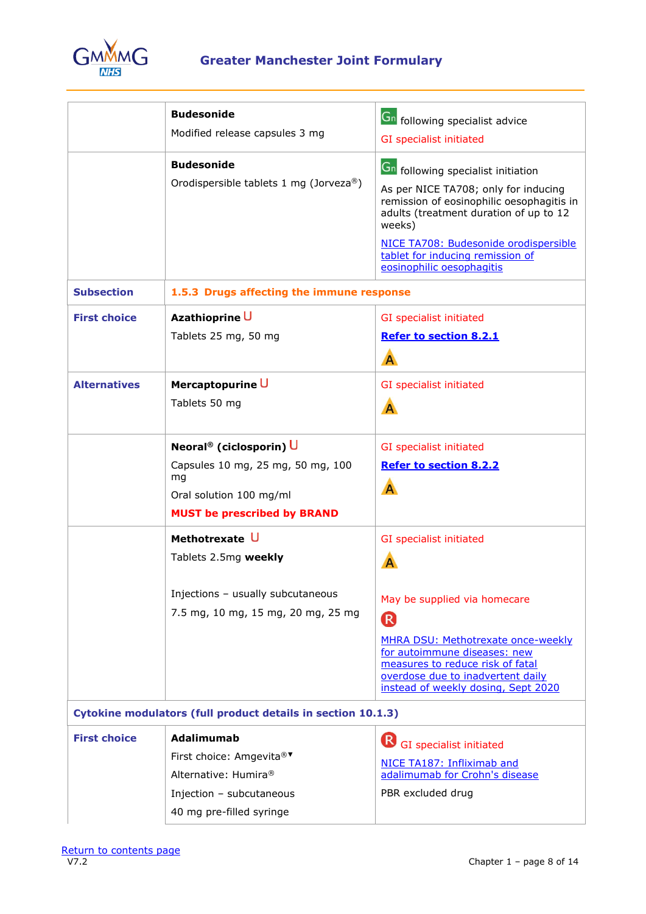

|                     | <b>Budesonide</b><br>Modified release capsules 3 mg<br><b>Budesonide</b><br>Orodispersible tablets 1 mg (Jorveza®)                              | <b>Gn</b> following specialist advice<br>GI specialist initiated<br><b>Gn</b> following specialist initiation<br>As per NICE TA708; only for inducing<br>remission of eosinophilic oesophagitis in<br>adults (treatment duration of up to 12<br>weeks)<br>NICE TA708: Budesonide orodispersible<br>tablet for inducing remission of<br>eosinophilic oesophagitis |
|---------------------|-------------------------------------------------------------------------------------------------------------------------------------------------|------------------------------------------------------------------------------------------------------------------------------------------------------------------------------------------------------------------------------------------------------------------------------------------------------------------------------------------------------------------|
| <b>Subsection</b>   | 1.5.3 Drugs affecting the immune response                                                                                                       |                                                                                                                                                                                                                                                                                                                                                                  |
| <b>First choice</b> | Azathioprine U<br>Tablets 25 mg, 50 mg                                                                                                          | GI specialist initiated<br><b>Refer to section 8.2.1</b><br>A                                                                                                                                                                                                                                                                                                    |
| <b>Alternatives</b> | Mercaptopurine U<br>Tablets 50 mg                                                                                                               | <b>GI</b> specialist initiated<br>A                                                                                                                                                                                                                                                                                                                              |
|                     | Neoral <sup>®</sup> (ciclosporin) U<br>Capsules 10 mg, 25 mg, 50 mg, 100<br>mg<br>Oral solution 100 mg/ml<br><b>MUST be prescribed by BRAND</b> | GI specialist initiated<br><b>Refer to section 8.2.2</b><br>A                                                                                                                                                                                                                                                                                                    |
|                     | Methotrexate U<br>Tablets 2.5mg weekly<br>Injections - usually subcutaneous<br>7.5 mg, 10 mg, 15 mg, 20 mg, 25 mg                               | GI specialist initiated<br>A<br>May be supplied via homecare<br><sup>R</sup><br>MHRA DSU: Methotrexate once-weekly<br>for autoimmune diseases: new<br>measures to reduce risk of fatal<br>overdose due to inadvertent daily<br>instead of weekly dosing, Sept 2020                                                                                               |
|                     | Cytokine modulators (full product details in section 10.1.3)                                                                                    |                                                                                                                                                                                                                                                                                                                                                                  |
| <b>First choice</b> | <b>Adalimumab</b><br>First choice: Amgevita®▼<br>Alternative: Humira®<br>Injection - subcutaneous<br>40 mg pre-filled syringe                   | (R)<br>GI specialist initiated<br>NICE TA187: Infliximab and<br>adalimumab for Crohn's disease<br>PBR excluded drug                                                                                                                                                                                                                                              |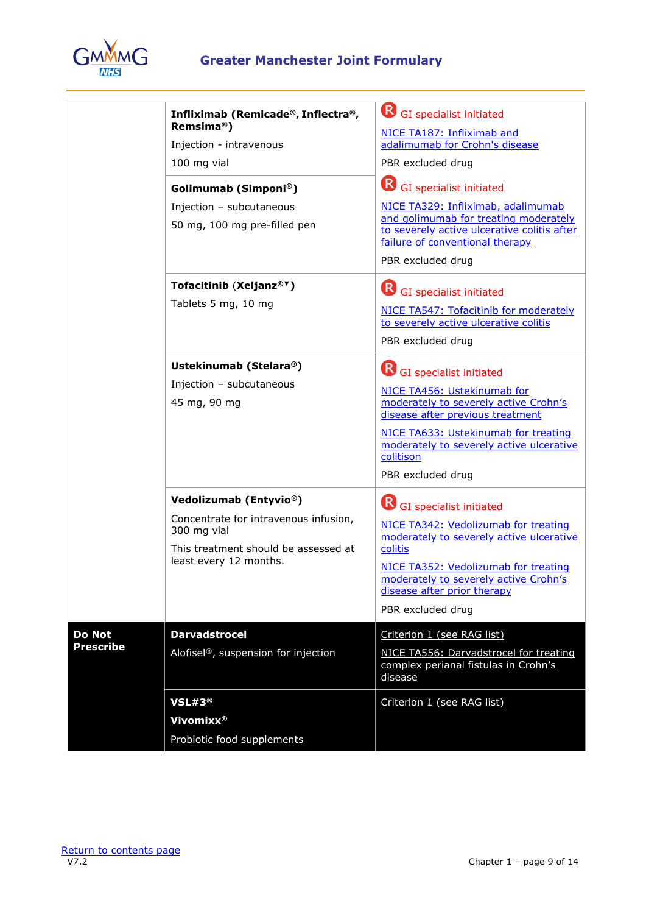

|                                   | Infliximab (Remicade®, Inflectra®,<br>Remsima <sup>®</sup> )<br>Injection - intravenous<br>100 mg vial<br>Golimumab (Simponi®)<br>Injection - subcutaneous<br>50 mg, 100 mg pre-filled pen | R<br>GI specialist initiated<br>NICE TA187: Infliximab and<br>adalimumab for Crohn's disease<br>PBR excluded drug<br>R<br>GI specialist initiated<br>NICE TA329: Infliximab, adalimumab<br>and golimumab for treating moderately<br>to severely active ulcerative colitis after<br>failure of conventional therapy<br>PBR excluded drug |
|-----------------------------------|--------------------------------------------------------------------------------------------------------------------------------------------------------------------------------------------|-----------------------------------------------------------------------------------------------------------------------------------------------------------------------------------------------------------------------------------------------------------------------------------------------------------------------------------------|
|                                   | Tofacitinib (Xeljanz® <sup>v</sup> )<br>Tablets 5 mg, 10 mg                                                                                                                                | <b>R</b> GI specialist initiated<br>NICE TA547: Tofacitinib for moderately<br>to severely active ulcerative colitis<br>PBR excluded drug                                                                                                                                                                                                |
|                                   | Ustekinumab (Stelara®)<br>Injection - subcutaneous<br>45 mg, 90 mg                                                                                                                         | <sup>R</sup><br>GI specialist initiated<br>NICE TA456: Ustekinumab for<br>moderately to severely active Crohn's<br>disease after previous treatment<br>NICE TA633: Ustekinumab for treating<br>moderately to severely active ulcerative<br>colitison<br>PBR excluded drug                                                               |
|                                   | Vedolizumab (Entyvio®)<br>Concentrate for intravenous infusion,<br>300 mg vial<br>This treatment should be assessed at<br>least every 12 months.                                           | GI specialist initiated<br>NICE TA342: Vedolizumab for treating<br>moderately to severely active ulcerative<br>colitis<br>NICE TA352: Vedolizumab for treating<br>moderately to severely active Crohn's<br>disease after prior therapy<br>PBR excluded drug                                                                             |
| <b>Do Not</b><br><b>Prescribe</b> | <b>Darvadstrocel</b><br>Alofisel®, suspension for injection                                                                                                                                | Criterion 1 (see RAG list)<br>NICE TA556: Darvadstrocel for treating<br>complex perianal fistulas in Crohn's<br>disease                                                                                                                                                                                                                 |
|                                   | VSL#3®<br>Vivomixx <sup>®</sup><br>Probiotic food supplements                                                                                                                              | Criterion 1 (see RAG list)                                                                                                                                                                                                                                                                                                              |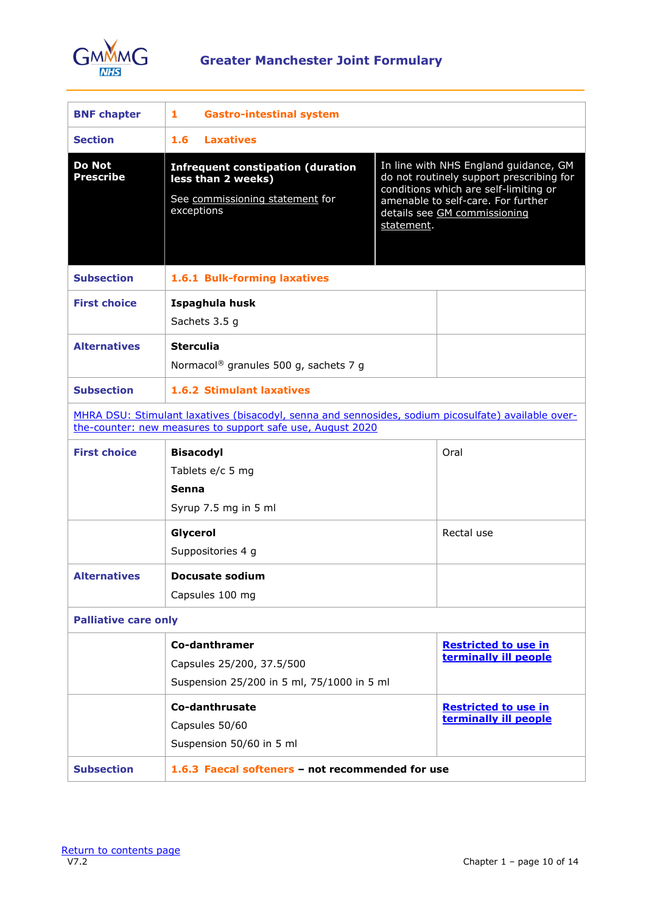

<span id="page-9-0"></span>

| <b>BNF chapter</b>                                                                                                                                                | <b>Gastro-intestinal system</b><br>1                                                                            |                                                                                                                                                                                                                |
|-------------------------------------------------------------------------------------------------------------------------------------------------------------------|-----------------------------------------------------------------------------------------------------------------|----------------------------------------------------------------------------------------------------------------------------------------------------------------------------------------------------------------|
| <b>Section</b>                                                                                                                                                    | <b>Laxatives</b><br>1.6 <sub>1</sub>                                                                            |                                                                                                                                                                                                                |
| <b>Do Not</b><br><b>Prescribe</b>                                                                                                                                 | <b>Infrequent constipation (duration</b><br>less than 2 weeks)<br>See commissioning statement for<br>exceptions | In line with NHS England guidance, GM<br>do not routinely support prescribing for<br>conditions which are self-limiting or<br>amenable to self-care. For further<br>details see GM commissioning<br>statement. |
| <b>Subsection</b>                                                                                                                                                 | 1.6.1 Bulk-forming laxatives                                                                                    |                                                                                                                                                                                                                |
| <b>First choice</b><br><b>Alternatives</b>                                                                                                                        | Ispaghula husk<br>Sachets 3.5 g<br><b>Sterculia</b>                                                             |                                                                                                                                                                                                                |
|                                                                                                                                                                   | Normacol <sup>®</sup> granules 500 g, sachets 7 g                                                               |                                                                                                                                                                                                                |
| <b>Subsection</b>                                                                                                                                                 | <b>1.6.2 Stimulant laxatives</b>                                                                                |                                                                                                                                                                                                                |
| MHRA DSU: Stimulant laxatives (bisacodyl, senna and sennosides, sodium picosulfate) available over-<br>the-counter: new measures to support safe use, August 2020 |                                                                                                                 |                                                                                                                                                                                                                |
| <b>First choice</b>                                                                                                                                               | <b>Bisacodyl</b><br>Tablets e/c 5 mg<br>Senna<br>Syrup 7.5 mg in 5 ml                                           | Oral                                                                                                                                                                                                           |
|                                                                                                                                                                   | Glycerol<br>Suppositories 4 g                                                                                   | Rectal use                                                                                                                                                                                                     |
| <b>Alternatives</b>                                                                                                                                               | Docusate sodium<br>Capsules 100 mg                                                                              |                                                                                                                                                                                                                |
| <b>Palliative care only</b>                                                                                                                                       |                                                                                                                 |                                                                                                                                                                                                                |
|                                                                                                                                                                   | Co-danthramer<br>Capsules 25/200, 37.5/500<br>Suspension 25/200 in 5 ml, 75/1000 in 5 ml                        | <b>Restricted to use in</b><br>terminally ill people                                                                                                                                                           |
|                                                                                                                                                                   | Co-danthrusate<br>Capsules 50/60<br>Suspension 50/60 in 5 ml                                                    | <b>Restricted to use in</b><br>terminally ill people                                                                                                                                                           |
| <b>Subsection</b>                                                                                                                                                 | 1.6.3 Faecal softeners - not recommended for use                                                                |                                                                                                                                                                                                                |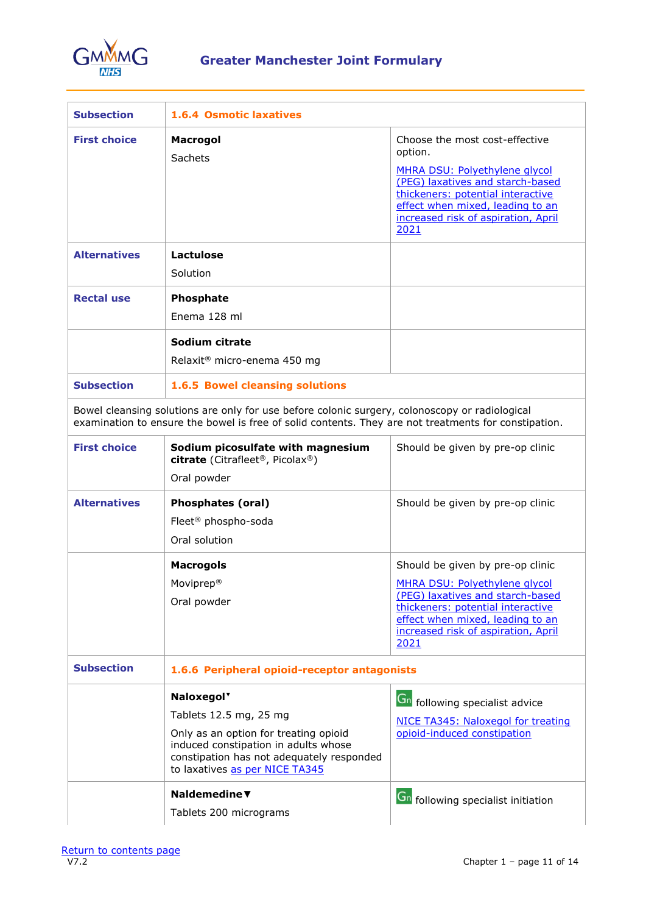

| <b>Subsection</b>   | <b>1.6.4 Osmotic laxatives</b>                                                                                                                                                                                   |                                                                                                                                                                                                                                        |
|---------------------|------------------------------------------------------------------------------------------------------------------------------------------------------------------------------------------------------------------|----------------------------------------------------------------------------------------------------------------------------------------------------------------------------------------------------------------------------------------|
| <b>First choice</b> | Macrogol<br>Sachets                                                                                                                                                                                              | Choose the most cost-effective<br>option.<br>MHRA DSU: Polyethylene glycol<br>(PEG) laxatives and starch-based<br>thickeners: potential interactive<br>effect when mixed, leading to an<br>increased risk of aspiration, April<br>2021 |
| <b>Alternatives</b> | Lactulose<br>Solution                                                                                                                                                                                            |                                                                                                                                                                                                                                        |
| <b>Rectal use</b>   | Phosphate<br>Enema 128 ml                                                                                                                                                                                        |                                                                                                                                                                                                                                        |
|                     | Sodium citrate<br>Relaxit <sup>®</sup> micro-enema 450 mg                                                                                                                                                        |                                                                                                                                                                                                                                        |
| <b>Subsection</b>   | 1.6.5 Bowel cleansing solutions                                                                                                                                                                                  |                                                                                                                                                                                                                                        |
|                     | Bowel cleansing solutions are only for use before colonic surgery, colonoscopy or radiological<br>examination to ensure the bowel is free of solid contents. They are not treatments for constipation.           |                                                                                                                                                                                                                                        |
| <b>First choice</b> | Sodium picosulfate with magnesium<br>citrate (Citrafleet <sup>®</sup> , Picolax <sup>®</sup> )<br>Oral powder                                                                                                    | Should be given by pre-op clinic                                                                                                                                                                                                       |
| <b>Alternatives</b> | <b>Phosphates (oral)</b><br>Fleet <sup>®</sup> phospho-soda<br>Oral solution                                                                                                                                     | Should be given by pre-op clinic                                                                                                                                                                                                       |
|                     | <b>Macrogols</b><br>Moviprep®<br>Oral powder                                                                                                                                                                     | Should be given by pre-op clinic<br>MHRA DSU: Polyethylene glycol<br>(PEG) laxatives and starch-based<br>thickeners: potential interactive<br>effect when mixed, leading to an<br>increased risk of aspiration, April<br>2021          |
| <b>Subsection</b>   | 1.6.6 Peripheral opioid-receptor antagonists                                                                                                                                                                     |                                                                                                                                                                                                                                        |
|                     | Naloxegol <sup>v</sup><br>Tablets 12.5 mg, 25 mg<br>Only as an option for treating opioid<br>induced constipation in adults whose<br>constipation has not adequately responded<br>to laxatives as per NICE TA345 | <b>Gn</b> following specialist advice<br>NICE TA345: Naloxegol for treating<br>opioid-induced constipation                                                                                                                             |
|                     | Naldemedine $\blacktriangledown$<br>Tablets 200 micrograms                                                                                                                                                       | <b>Gn</b> following specialist initiation                                                                                                                                                                                              |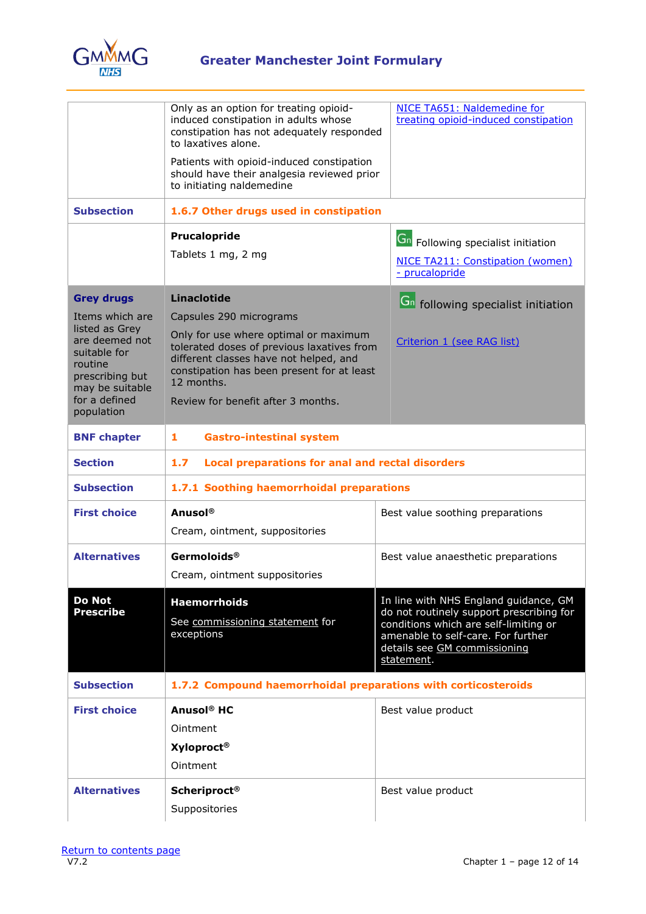

<span id="page-11-0"></span>

|                                                                                 | Only as an option for treating opioid-<br>induced constipation in adults whose<br>constipation has not adequately responded<br>to laxatives alone.<br>Patients with opioid-induced constipation<br>should have their analgesia reviewed prior<br>to initiating naldemedine | NICE TA651: Naldemedine for<br>treating opioid-induced constipation                                                                                                                                            |  |
|---------------------------------------------------------------------------------|----------------------------------------------------------------------------------------------------------------------------------------------------------------------------------------------------------------------------------------------------------------------------|----------------------------------------------------------------------------------------------------------------------------------------------------------------------------------------------------------------|--|
| <b>Subsection</b>                                                               | 1.6.7 Other drugs used in constipation                                                                                                                                                                                                                                     |                                                                                                                                                                                                                |  |
|                                                                                 | Prucalopride                                                                                                                                                                                                                                                               | <b>Gn</b> Following specialist initiation                                                                                                                                                                      |  |
|                                                                                 | Tablets 1 mg, 2 mg                                                                                                                                                                                                                                                         | NICE TA211: Constipation (women)<br>- prucalopride                                                                                                                                                             |  |
| <b>Grey drugs</b>                                                               | <b>Linaclotide</b>                                                                                                                                                                                                                                                         | <b>Gn</b> following specialist initiation                                                                                                                                                                      |  |
| Items which are<br>listed as Grey                                               | Capsules 290 micrograms                                                                                                                                                                                                                                                    |                                                                                                                                                                                                                |  |
| are deemed not<br>suitable for<br>routine<br>prescribing but<br>may be suitable | Only for use where optimal or maximum<br>tolerated doses of previous laxatives from<br>different classes have not helped, and<br>constipation has been present for at least<br>12 months.                                                                                  | Criterion 1 (see RAG list)                                                                                                                                                                                     |  |
| for a defined<br>population                                                     | Review for benefit after 3 months.                                                                                                                                                                                                                                         |                                                                                                                                                                                                                |  |
| <b>BNF chapter</b>                                                              | <b>Gastro-intestinal system</b><br>1                                                                                                                                                                                                                                       |                                                                                                                                                                                                                |  |
| <b>Section</b>                                                                  | 1.7<br><b>Local preparations for anal and rectal disorders</b>                                                                                                                                                                                                             |                                                                                                                                                                                                                |  |
| <b>Subsection</b>                                                               | 1.7.1 Soothing haemorrhoidal preparations                                                                                                                                                                                                                                  |                                                                                                                                                                                                                |  |
| <b>First choice</b>                                                             | <b>Anusol</b> ®<br>Cream, ointment, suppositories                                                                                                                                                                                                                          | Best value soothing preparations                                                                                                                                                                               |  |
| <b>Alternatives</b>                                                             | Germoloids <sup>®</sup><br>Cream, ointment suppositories                                                                                                                                                                                                                   | Best value anaesthetic preparations                                                                                                                                                                            |  |
| Do Not<br><b>Prescribe</b>                                                      | <b>Haemorrhoids</b><br>See commissioning statement for<br>exceptions                                                                                                                                                                                                       | In line with NHS England guidance, GM<br>do not routinely support prescribing for<br>conditions which are self-limiting or<br>amenable to self-care. For further<br>details see GM commissioning<br>statement. |  |
| <b>Subsection</b>                                                               | 1.7.2 Compound haemorrhoidal preparations with corticosteroids                                                                                                                                                                                                             |                                                                                                                                                                                                                |  |
| <b>First choice</b>                                                             | Anusol <sup>®</sup> HC<br>Ointment<br><b>Xyloproct®</b><br>Ointment                                                                                                                                                                                                        | Best value product                                                                                                                                                                                             |  |
| <b>Alternatives</b>                                                             | <b>Scheriproct®</b><br>Suppositories                                                                                                                                                                                                                                       | Best value product                                                                                                                                                                                             |  |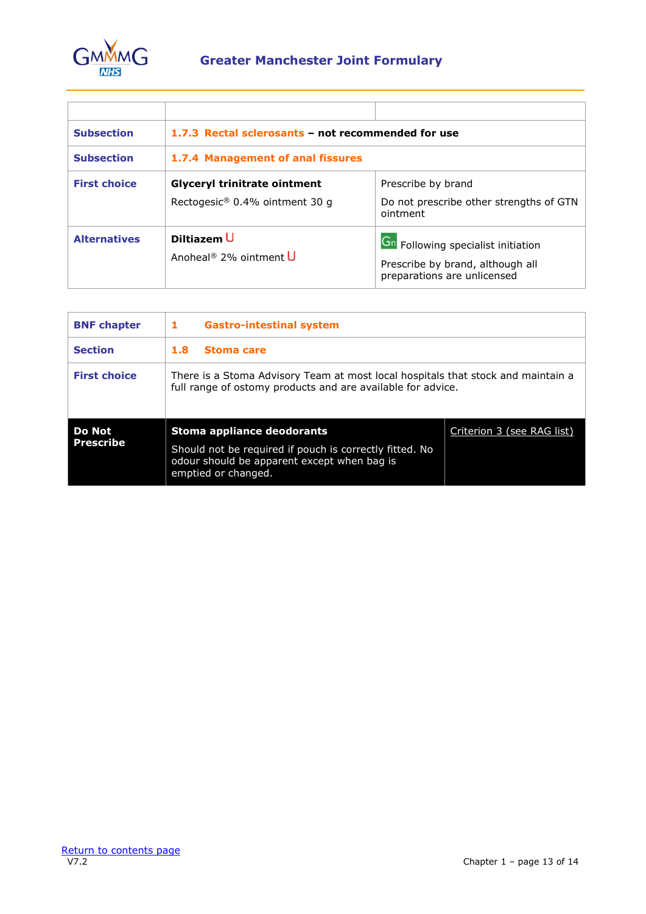

| <b>Subsection</b>   | 1.7.3 Rectal sclerosants - not recommended for use                    |                                                                                                       |  |
|---------------------|-----------------------------------------------------------------------|-------------------------------------------------------------------------------------------------------|--|
| <b>Subsection</b>   | 1.7.4 Management of anal fissures                                     |                                                                                                       |  |
| <b>First choice</b> | <b>Glyceryl trinitrate ointment</b><br>Rectogesic® 0.4% ointment 30 q | Prescribe by brand<br>Do not prescribe other strengths of GTN<br>ointment                             |  |
| <b>Alternatives</b> | Diltiazem U<br>Anoheal <sup>®</sup> 2% ointment U                     | Gn Following specialist initiation<br>Prescribe by brand, although all<br>preparations are unlicensed |  |

<span id="page-12-0"></span>

| <b>BNF</b> chapter                | 1<br><b>Gastro-intestinal system</b>                                                                                                                        |                            |
|-----------------------------------|-------------------------------------------------------------------------------------------------------------------------------------------------------------|----------------------------|
| <b>Section</b>                    | 1.8<br>Stoma care                                                                                                                                           |                            |
| <b>First choice</b>               | There is a Stoma Advisory Team at most local hospitals that stock and maintain a<br>full range of ostomy products and are available for advice.             |                            |
| <b>Do Not</b><br><b>Prescribe</b> | Stoma appliance deodorants<br>Should not be required if pouch is correctly fitted. No<br>odour should be apparent except when bag is<br>emptied or changed. | Criterion 3 (see RAG list) |